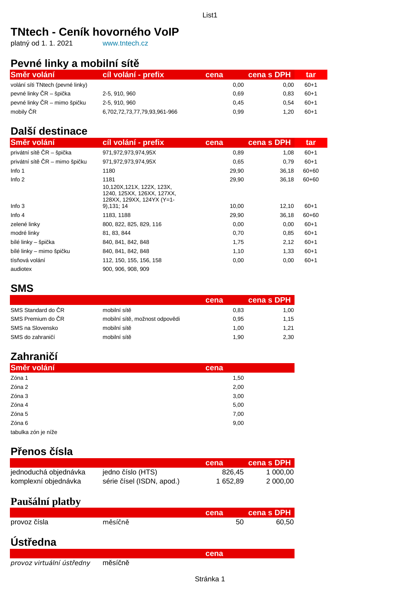## **TNtech - Ceník hovorného VoIP**

platný od 1. 1. 2021 [www.tntech.cz](http://www.tntech.cz/)

### **Pevné linky a mobilní sítě**

| Směr volání                      | cíl volání - prefix          | cena | cena s DPH | tar      |
|----------------------------------|------------------------------|------|------------|----------|
| volání síti TNtech (pevné linky) |                              | 0.00 | 0.00       | $60 + 1$ |
| pevné linky ČR – špička          | 2-5, 910, 960                | 0.69 | 0.83       | $60 + 1$ |
| pevné linky ČR – mimo špičku     | 2-5, 910, 960                | 0.45 | 0.54       | $60 + 1$ |
| mobily ČR                        | 6,702,72,73,77,79,93,961-966 | 0.99 | 1.20       | $60 + 1$ |

### **Další destinace**

| Směr volání                    | cíl volání - prefix                                                                          | cena  | cena s DPH | tar       |
|--------------------------------|----------------------------------------------------------------------------------------------|-------|------------|-----------|
| privátní sítě ČR – špička      | 971,972,973,974,95X                                                                          | 0,89  | 1,08       | $60 + 1$  |
| privátní sítě ČR - mimo špičku | 971,972,973,974,95X                                                                          | 0,65  | 0,79       | $60 + 1$  |
| Info 1                         | 1180                                                                                         | 29,90 | 36,18      | $60 + 60$ |
| Info $2$                       | 1181<br>10,120X,121X, 122X, 123X,<br>1240, 125XX, 126XX, 127XX,<br>128XX, 129XX, 124YX (Y=1- | 29,90 | 36.18      | $60 + 60$ |
| Info $3$                       | $9)$ , 131; 14                                                                               | 10,00 | 12,10      | $60 + 1$  |
| Info $4$                       | 1183, 1188                                                                                   | 29,90 | 36,18      | $60 + 60$ |
| zelené linky                   | 800, 822, 825, 829, 116                                                                      | 0,00  | 0,00       | $60 + 1$  |
| modré linky                    | 81, 83, 844                                                                                  | 0,70  | 0,85       | $60 + 1$  |
| bílé linky – špička            | 840, 841, 842, 848                                                                           | 1,75  | 2,12       | $60 + 1$  |
| bílé linky – mimo špičku       | 840, 841, 842, 848                                                                           | 1,10  | 1,33       | $60+1$    |
| tísňová volání                 | 112, 150, 155, 156, 158                                                                      | 0,00  | 0,00       | $60 + 1$  |
| audiotex                       | 900, 906, 908, 909                                                                           |       |            |           |

#### **SMS**

|                    |                                | cena | cena s DPH |
|--------------------|--------------------------------|------|------------|
| SMS Standard do CR | mobilní sítě                   | 0.83 | 1,00       |
| SMS Premium do ČR  | mobilní sítě, možnost odpovědi | 0.95 | 1,15       |
| SMS na Slovensko   | mobilní sítě                   | 1.00 | 1,21       |
| SMS do zahraničí   | mobilní sítě                   | 1.90 | 2,30       |

# **Zahraničí**

| Směr volání         | cena |
|---------------------|------|
| Zóna 1              | 1,50 |
| Zóna 2              | 2,00 |
| Zóna 3              | 3,00 |
| Zóna 4              | 5,00 |
| Zóna 5              | 7,00 |
| Zóna 6              | 9,00 |
| tabulka zón je níže |      |

### **Přenos čísla**

|                       |                           | cena     | cena s DPH |
|-----------------------|---------------------------|----------|------------|
| jednoduchá objednávka | jedno číslo (HTS)         | 826.45   | 1 000.00   |
| komplexní objednávka  | série čísel (ISDN, apod.) | 1 652.89 | 2 000.00   |

### **Paušální platby**

|                           |         |      |    | cena s DPH |
|---------------------------|---------|------|----|------------|
|                           |         | cena |    |            |
| provoz čísla              | měsíčně |      | 50 | 60,50      |
|                           |         |      |    |            |
|                           |         |      |    |            |
| Ústředna                  |         |      |    |            |
|                           |         | cena |    |            |
| provoz virtuální ústředny | měsíčně |      |    |            |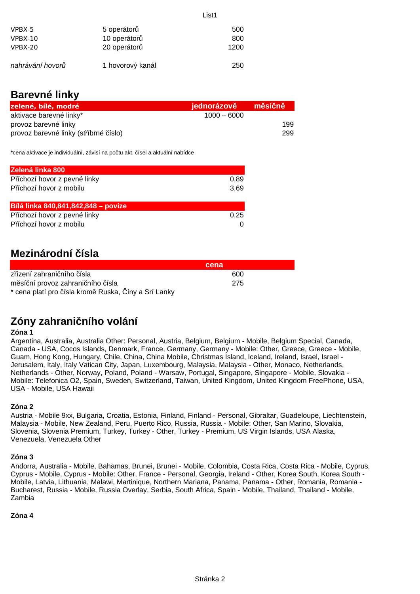| 5 operátorů      | 500  |
|------------------|------|
| 10 operátorů     | 800  |
| 20 operátorů     | 1200 |
| 1 hovorový kanál | 250  |
|                  |      |

### **Barevné linky**

| zelené, bílé, modré                   | jednorázově   | měsíčně |
|---------------------------------------|---------------|---------|
| aktivace barevné linky*               | $1000 - 6000$ |         |
| provoz barevné linky                  |               | 199     |
| provoz barevné linky (stříbrné číslo) |               | 299     |

List1

\*cena aktivace je individuální, závisí na počtu akt. čísel a aktuální nabídce

| Zelená linka 800                    |      |
|-------------------------------------|------|
| Příchozí hovor z pevné linky        | 0,89 |
| Příchozí hovor z mobilu             | 3,69 |
|                                     |      |
| Bílá linka 840,841,842,848 - povize |      |
| Příchozí hovor z pevné linky        | 0.25 |
| Příchozí hovor z mobilu             |      |

### **Mezinárodní čísla**

|                                                      | cena |  |
|------------------------------------------------------|------|--|
| zřízení zahraničního čísla                           | -600 |  |
| měsíční provoz zahraničního čísla                    | -275 |  |
| * cena platí pro čísla kromě Ruska, Číny a Srí Lanky |      |  |

## **Zóny zahraničního volání**

#### **Zóna 1**

Argentina, Australia, Australia Other: Personal, Austria, Belgium, Belgium - Mobile, Belgium Special, Canada, Canada - USA, Cocos Islands, Denmark, France, Germany, Germany - Mobile: Other, Greece, Greece - Mobile, Guam, Hong Kong, Hungary, Chile, China, China Mobile, Christmas Island, Iceland, Ireland, Israel, Israel - Jerusalem, Italy, Italy Vatican City, Japan, Luxembourg, Malaysia, Malaysia - Other, Monaco, Netherlands, Netherlands - Other, Norway, Poland, Poland - Warsaw, Portugal, Singapore, Singapore - Mobile, Slovakia - Mobile: Telefonica O2, Spain, Sweden, Switzerland, Taiwan, United Kingdom, United Kingdom FreePhone, USA, USA - Mobile, USA Hawaii

#### **Zóna 2**

Austria - Mobile 9xx, Bulgaria, Croatia, Estonia, Finland, Finland - Personal, Gibraltar, Guadeloupe, Liechtenstein, Malaysia - Mobile, New Zealand, Peru, Puerto Rico, Russia, Russia - Mobile: Other, San Marino, Slovakia, Slovenia, Slovenia Premium, Turkey, Turkey - Other, Turkey - Premium, US Virgin Islands, USA Alaska, Venezuela, Venezuela Other

#### **Zóna 3**

Andorra, Australia - Mobile, Bahamas, Brunei, Brunei - Mobile, Colombia, Costa Rica, Costa Rica - Mobile, Cyprus, Cyprus - Mobile, Cyprus - Mobile: Other, France - Personal, Georgia, Ireland - Other, Korea South, Korea South - Mobile, Latvia, Lithuania, Malawi, Martinique, Northern Mariana, Panama, Panama - Other, Romania, Romania - Bucharest, Russia - Mobile, Russia Overlay, Serbia, South Africa, Spain - Mobile, Thailand, Thailand - Mobile, Zambia

#### **Zóna 4**